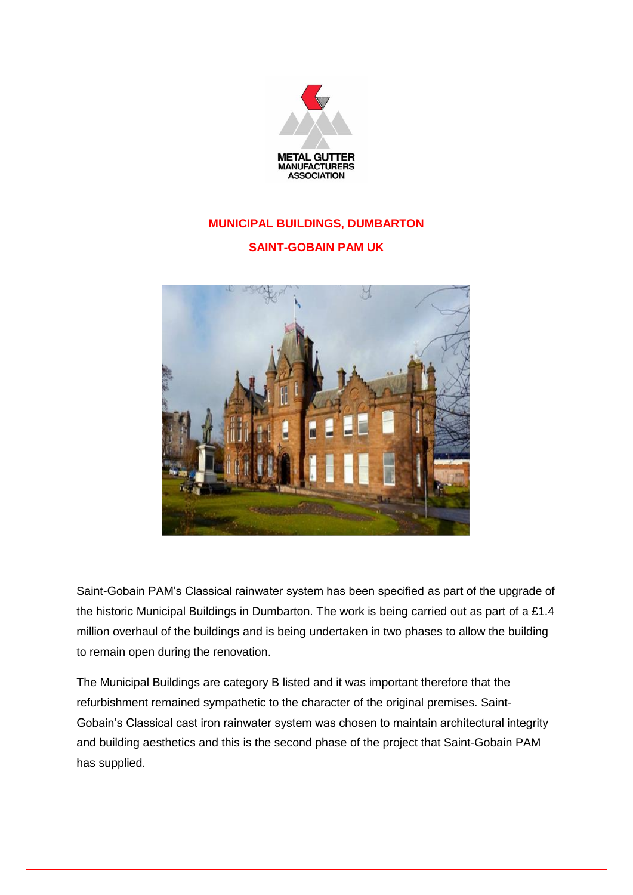

## **MUNICIPAL BUILDINGS, DUMBARTON**

## **SAINT-GOBAIN PAM UK**



Saint-Gobain PAM's Classical rainwater system has been specified as part of the upgrade of the historic Municipal Buildings in Dumbarton. The work is being carried out as part of a £1.4 million overhaul of the buildings and is being undertaken in two phases to allow the building to remain open during the renovation.

The Municipal Buildings are category B listed and it was important therefore that the refurbishment remained sympathetic to the character of the original premises. Saint-Gobain's Classical cast iron rainwater system was chosen to maintain architectural integrity and building aesthetics and this is the second phase of the project that Saint-Gobain PAM has supplied.